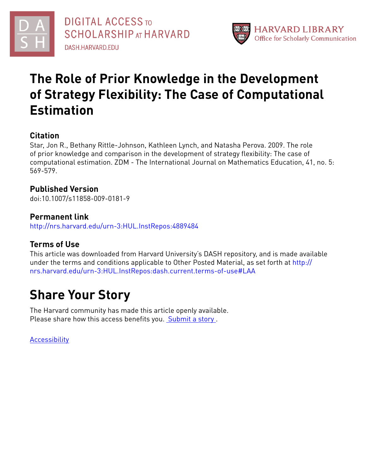



## **The Role of Prior Knowledge in the Development of Strategy Flexibility: The Case of Computational Estimation**

## **Citation**

Star, Jon R., Bethany Rittle-Johnson, Kathleen Lynch, and Natasha Perova. 2009. The role of prior knowledge and comparison in the development of strategy flexibility: The case of computational estimation. ZDM - The International Journal on Mathematics Education, 41, no. 5: 569-579.

## **Published Version**

doi:10.1007/s11858-009-0181-9

### **Permanent link**

<http://nrs.harvard.edu/urn-3:HUL.InstRepos:4889484>

## **Terms of Use**

This article was downloaded from Harvard University's DASH repository, and is made available under the terms and conditions applicable to Other Posted Material, as set forth at [http://](http://nrs.harvard.edu/urn-3:HUL.InstRepos:dash.current.terms-of-use#LAA) [nrs.harvard.edu/urn-3:HUL.InstRepos:dash.current.terms-of-use#LAA](http://nrs.harvard.edu/urn-3:HUL.InstRepos:dash.current.terms-of-use#LAA)

## **Share Your Story**

The Harvard community has made this article openly available. Please share how this access benefits you. [Submit](http://osc.hul.harvard.edu/dash/open-access-feedback?handle=&title=The%20Role%20of%20Prior%20Knowledge%20in%20the%20Development%20of%20Strategy%20Flexibility:%20The%20Case%20of%20Computational%20Estimation&community=1/3345927&collection=1/3345928&owningCollection1/3345928&harvardAuthors=b3d9c9453df1af391ee1fbee5991f69b&department) a story.

[Accessibility](https://dash.harvard.edu/pages/accessibility)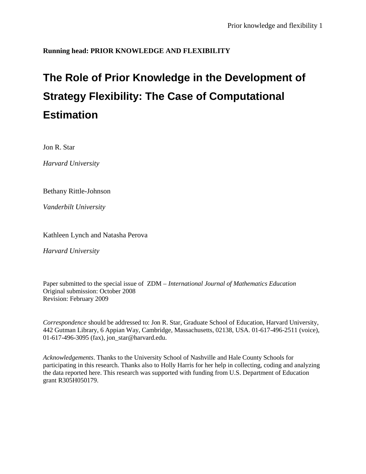### **Running head: PRIOR KNOWLEDGE AND FLEXIBILITY**

# **The Role of Prior Knowledge in the Development of Strategy Flexibility: The Case of Computational Estimation**

Jon R. Star

*Harvard University*

Bethany Rittle-Johnson

*Vanderbilt University*

Kathleen Lynch and Natasha Perova

*Harvard University*

Paper submitted to the special issue of ZDM – *International Journal of Mathematics Education* Original submission: October 2008 Revision: February 2009

*Correspondence* should be addressed to: Jon R. Star, Graduate School of Education, Harvard University, 442 Gutman Library, 6 Appian Way, Cambridge, Massachusetts, 02138, USA. 01-617-496-2511 (voice), 01-617-496-3095 (fax), jon\_star@harvard.edu.

*Acknowledgements*. Thanks to the University School of Nashville and Hale County Schools for participating in this research. Thanks also to Holly Harris for her help in collecting, coding and analyzing the data reported here. This research was supported with funding from U.S. Department of Education grant R305H050179.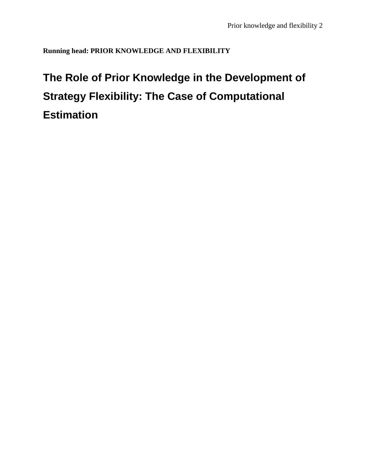**Running head: PRIOR KNOWLEDGE AND FLEXIBILITY**

# **The Role of Prior Knowledge in the Development of Strategy Flexibility: The Case of Computational Estimation**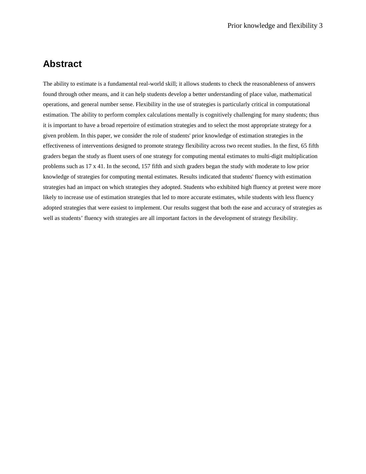## **Abstract**

The ability to estimate is a fundamental real-world skill; it allows students to check the reasonableness of answers found through other means, and it can help students develop a better understanding of place value, mathematical operations, and general number sense. Flexibility in the use of strategies is particularly critical in computational estimation. The ability to perform complex calculations mentally is cognitively challenging for many students; thus it is important to have a broad repertoire of estimation strategies and to select the most appropriate strategy for a given problem. In this paper, we consider the role of students' prior knowledge of estimation strategies in the effectiveness of interventions designed to promote strategy flexibility across two recent studies. In the first, 65 fifth graders began the study as fluent users of one strategy for computing mental estimates to multi-digit multiplication problems such as 17 x 41. In the second, 157 fifth and sixth graders began the study with moderate to low prior knowledge of strategies for computing mental estimates. Results indicated that students' fluency with estimation strategies had an impact on which strategies they adopted. Students who exhibited high fluency at pretest were more likely to increase use of estimation strategies that led to more accurate estimates, while students with less fluency adopted strategies that were easiest to implement. Our results suggest that both the ease and accuracy of strategies as well as students' fluency with strategies are all important factors in the development of strategy flexibility.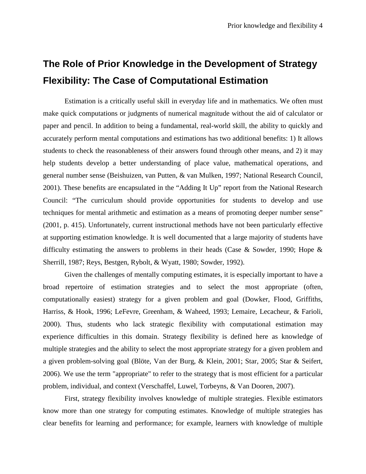## **The Role of Prior Knowledge in the Development of Strategy Flexibility: The Case of Computational Estimation**

Estimation is a critically useful skill in everyday life and in mathematics. We often must make quick computations or judgments of numerical magnitude without the aid of calculator or paper and pencil. In addition to being a fundamental, real-world skill, the ability to quickly and accurately perform mental computations and estimations has two additional benefits: 1) It allows students to check the reasonableness of their answers found through other means, and 2) it may help students develop a better understanding of place value, mathematical operations, and general number sense (Beishuizen, van Putten, & van Mulken, 1997; National Research Council, 2001). These benefits are encapsulated in the "Adding It Up" report from the National Research Council: "The curriculum should provide opportunities for students to develop and use techniques for mental arithmetic and estimation as a means of promoting deeper number sense" (2001, p. 415). Unfortunately, current instructional methods have not been particularly effective at supporting estimation knowledge. It is well documented that a large majority of students have difficulty estimating the answers to problems in their heads (Case & Sowder, 1990; Hope & Sherrill, 1987; Reys, Bestgen, Rybolt, & Wyatt, 1980; Sowder, 1992).

Given the challenges of mentally computing estimates, it is especially important to have a broad repertoire of estimation strategies and to select the most appropriate (often, computationally easiest) strategy for a given problem and goal (Dowker, Flood, Griffiths, Harriss, & Hook, 1996; LeFevre, Greenham, & Waheed, 1993; Lemaire, Lecacheur, & Farioli, 2000). Thus, students who lack strategic flexibility with computational estimation may experience difficulties in this domain. Strategy flexibility is defined here as knowledge of multiple strategies and the ability to select the most appropriate strategy for a given problem and a given problem-solving goal (Blöte, Van der Burg, & Klein, 2001; Star, 2005; Star & Seifert, 2006). We use the term "appropriate" to refer to the strategy that is most efficient for a particular problem, individual, and context (Verschaffel, Luwel, Torbeyns, & Van Dooren, 2007).

First, strategy flexibility involves knowledge of multiple strategies. Flexible estimators know more than one strategy for computing estimates. Knowledge of multiple strategies has clear benefits for learning and performance; for example, learners with knowledge of multiple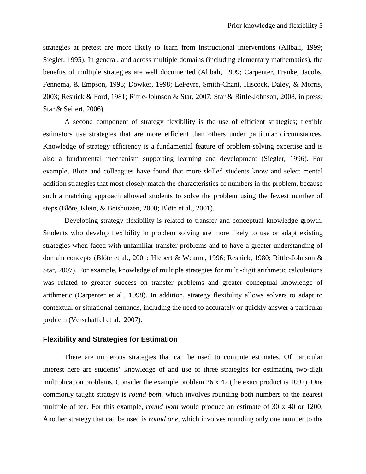strategies at pretest are more likely to learn from instructional interventions (Alibali, 1999; Siegler, 1995). In general, and across multiple domains (including elementary mathematics), the benefits of multiple strategies are well documented (Alibali, 1999; Carpenter, Franke, Jacobs, Fennema, & Empson, 1998; Dowker, 1998; LeFevre, Smith-Chant, Hiscock, Daley, & Morris, 2003; Resnick & Ford, 1981; Rittle-Johnson & Star, 2007; Star & Rittle-Johnson, 2008, in press; Star & Seifert, 2006).

A second component of strategy flexibility is the use of efficient strategies; flexible estimators use strategies that are more efficient than others under particular circumstances. Knowledge of strategy efficiency is a fundamental feature of problem-solving expertise and is also a fundamental mechanism supporting learning and development (Siegler, 1996). For example, Blöte and colleagues have found that more skilled students know and select mental addition strategies that most closely match the characteristics of numbers in the problem, because such a matching approach allowed students to solve the problem using the fewest number of steps (Blöte, Klein, & Beishuizen, 2000; Blöte et al., 2001).

Developing strategy flexibility is related to transfer and conceptual knowledge growth. Students who develop flexibility in problem solving are more likely to use or adapt existing strategies when faced with unfamiliar transfer problems and to have a greater understanding of domain concepts (Blöte et al., 2001; Hiebert & Wearne, 1996; Resnick, 1980; Rittle-Johnson & Star, 2007). For example, knowledge of multiple strategies for multi-digit arithmetic calculations was related to greater success on transfer problems and greater conceptual knowledge of arithmetic (Carpenter et al., 1998). In addition, strategy flexibility allows solvers to adapt to contextual or situational demands, including the need to accurately or quickly answer a particular problem (Verschaffel et al., 2007).

#### **Flexibility and Strategies for Estimation**

There are numerous strategies that can be used to compute estimates. Of particular interest here are students' knowledge of and use of three strategies for estimating two-digit multiplication problems. Consider the example problem 26 x 42 (the exact product is 1092). One commonly taught strategy is *round both*, which involves rounding both numbers to the nearest multiple of ten. For this example, *round both* would produce an estimate of 30 x 40 or 1200. Another strategy that can be used is *round one*, which involves rounding only one number to the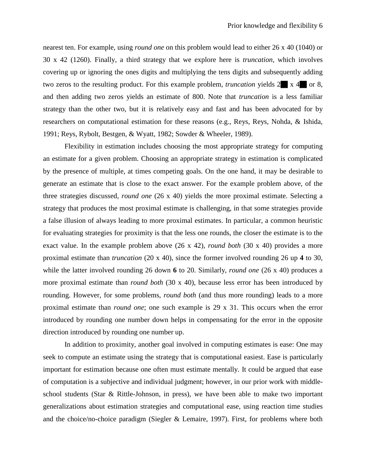nearest ten. For example, using *round one* on this problem would lead to either 26 x 40 (1040) or 30 x 42 (1260). Finally, a third strategy that we explore here is *truncation*, which involves covering up or ignoring the ones digits and multiplying the tens digits and subsequently adding two zeros to the resulting product. For this example problem, *truncation* yields  $2 \times 4$  or 8, and then adding two zeros yields an estimate of 800. Note that *truncation* is a less familiar strategy than the other two, but it is relatively easy and fast and has been advocated for by researchers on computational estimation for these reasons (e.g., Reys, Reys, Nohda, & Ishida, 1991; Reys, Rybolt, Bestgen, & Wyatt, 1982; Sowder & Wheeler, 1989).

Flexibility in estimation includes choosing the most appropriate strategy for computing an estimate for a given problem. Choosing an appropriate strategy in estimation is complicated by the presence of multiple, at times competing goals. On the one hand, it may be desirable to generate an estimate that is close to the exact answer. For the example problem above, of the three strategies discussed, *round one* (26 x 40) yields the more proximal estimate. Selecting a strategy that produces the most proximal estimate is challenging, in that some strategies provide a false illusion of always leading to more proximal estimates. In particular, a common heuristic for evaluating strategies for proximity is that the less one rounds, the closer the estimate is to the exact value. In the example problem above (26 x 42), *round both* (30 x 40) provides a more proximal estimate than *truncation* (20 x 40), since the former involved rounding 26 up **4** to 30, while the latter involved rounding 26 down **6** to 20. Similarly, *round one* (26 x 40) produces a more proximal estimate than *round both* (30 x 40), because less error has been introduced by rounding. However, for some problems, *round both* (and thus more rounding) leads to a more proximal estimate than *round one*; one such example is 29 x 31. This occurs when the error introduced by rounding one number down helps in compensating for the error in the opposite direction introduced by rounding one number up.

In addition to proximity, another goal involved in computing estimates is ease: One may seek to compute an estimate using the strategy that is computational easiest. Ease is particularly important for estimation because one often must estimate mentally. It could be argued that ease of computation is a subjective and individual judgment; however, in our prior work with middleschool students (Star & Rittle-Johnson, in press), we have been able to make two important generalizations about estimation strategies and computational ease, using reaction time studies and the choice/no-choice paradigm (Siegler & Lemaire, 1997). First, for problems where both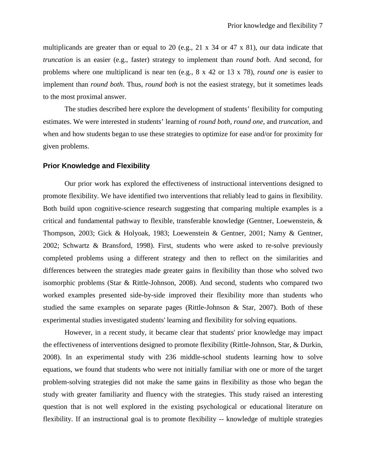multiplicands are greater than or equal to 20 (e.g., 21 x 34 or 47 x 81), our data indicate that *truncation* is an easier (e.g., faster) strategy to implement than *round both*. And second, for problems where one multiplicand is near ten (e.g., 8 x 42 or 13 x 78), *round one* is easier to implement than *round both*. Thus, *round both* is not the easiest strategy, but it sometimes leads to the most proximal answer.

The studies described here explore the development of students' flexibility for computing estimates. We were interested in students' learning of *round both*, *round one*, and *truncation*, and when and how students began to use these strategies to optimize for ease and/or for proximity for given problems.

#### **Prior Knowledge and Flexibility**

Our prior work has explored the effectiveness of instructional interventions designed to promote flexibility. We have identified two interventions that reliably lead to gains in flexibility. Both build upon cognitive-science research suggesting that comparing multiple examples is a critical and fundamental pathway to flexible, transferable knowledge (Gentner, Loewenstein, & Thompson, 2003; Gick & Holyoak, 1983; Loewenstein & Gentner, 2001; Namy & Gentner, 2002; Schwartz & Bransford, 1998). First, students who were asked to re-solve previously completed problems using a different strategy and then to reflect on the similarities and differences between the strategies made greater gains in flexibility than those who solved two isomorphic problems (Star & Rittle-Johnson, 2008). And second, students who compared two worked examples presented side-by-side improved their flexibility more than students who studied the same examples on separate pages (Rittle-Johnson & Star, 2007). Both of these experimental studies investigated students' learning and flexibility for solving equations.

However, in a recent study, it became clear that students' prior knowledge may impact the effectiveness of interventions designed to promote flexibility (Rittle-Johnson, Star, & Durkin, 2008). In an experimental study with 236 middle-school students learning how to solve equations, we found that students who were not initially familiar with one or more of the target problem-solving strategies did not make the same gains in flexibility as those who began the study with greater familiarity and fluency with the strategies. This study raised an interesting question that is not well explored in the existing psychological or educational literature on flexibility. If an instructional goal is to promote flexibility -- knowledge of multiple strategies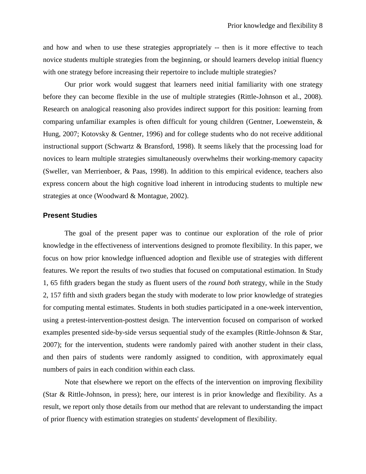and how and when to use these strategies appropriately -- then is it more effective to teach novice students multiple strategies from the beginning, or should learners develop initial fluency with one strategy before increasing their repertoire to include multiple strategies?

Our prior work would suggest that learners need initial familiarity with one strategy before they can become flexible in the use of multiple strategies (Rittle-Johnson et al., 2008). Research on analogical reasoning also provides indirect support for this position: learning from comparing unfamiliar examples is often difficult for young children (Gentner, Loewenstein, & Hung, 2007; Kotovsky & Gentner, 1996) and for college students who do not receive additional instructional support (Schwartz & Bransford, 1998). It seems likely that the processing load for novices to learn multiple strategies simultaneously overwhelms their working-memory capacity (Sweller, van Merrienboer, & Paas, 1998). In addition to this empirical evidence, teachers also express concern about the high cognitive load inherent in introducing students to multiple new strategies at once (Woodward & Montague, 2002).

#### **Present Studies**

The goal of the present paper was to continue our exploration of the role of prior knowledge in the effectiveness of interventions designed to promote flexibility. In this paper, we focus on how prior knowledge influenced adoption and flexible use of strategies with different features. We report the results of two studies that focused on computational estimation. In Study 1, 65 fifth graders began the study as fluent users of the *round both* strategy, while in the Study 2, 157 fifth and sixth graders began the study with moderate to low prior knowledge of strategies for computing mental estimates. Students in both studies participated in a one-week intervention, using a pretest-intervention-posttest design. The intervention focused on comparison of worked examples presented side-by-side versus sequential study of the examples (Rittle-Johnson & Star, 2007); for the intervention, students were randomly paired with another student in their class, and then pairs of students were randomly assigned to condition, with approximately equal numbers of pairs in each condition within each class.

Note that elsewhere we report on the effects of the intervention on improving flexibility (Star & Rittle-Johnson, in press); here, our interest is in prior knowledge and flexibility. As a result, we report only those details from our method that are relevant to understanding the impact of prior fluency with estimation strategies on students' development of flexibility.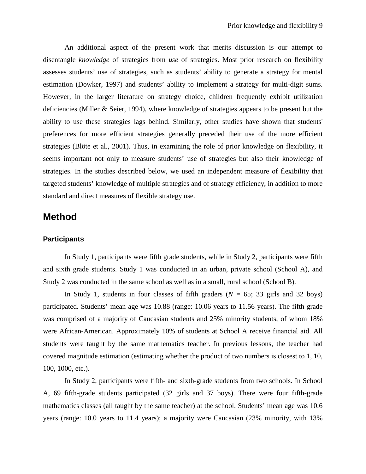An additional aspect of the present work that merits discussion is our attempt to disentangle *knowledge* of strategies from *use* of strategies. Most prior research on flexibility assesses students' use of strategies, such as students' ability to generate a strategy for mental estimation (Dowker, 1997) and students' ability to implement a strategy for multi-digit sums. However, in the larger literature on strategy choice, children frequently exhibit utilization deficiencies (Miller & Seier, 1994), where knowledge of strategies appears to be present but the ability to use these strategies lags behind. Similarly, other studies have shown that students' preferences for more efficient strategies generally preceded their use of the more efficient strategies (Blöte et al., 2001). Thus, in examining the role of prior knowledge on flexibility, it seems important not only to measure students' use of strategies but also their knowledge of strategies. In the studies described below, we used an independent measure of flexibility that targeted students' knowledge of multiple strategies and of strategy efficiency, in addition to more standard and direct measures of flexible strategy use.

## **Method**

#### **Participants**

In Study 1, participants were fifth grade students, while in Study 2, participants were fifth and sixth grade students. Study 1 was conducted in an urban, private school (School A), and Study 2 was conducted in the same school as well as in a small, rural school (School B).

In Study 1, students in four classes of fifth graders  $(N = 65; 33$  girls and 32 boys) participated. Students' mean age was 10.88 (range: 10.06 years to 11.56 years). The fifth grade was comprised of a majority of Caucasian students and 25% minority students, of whom 18% were African-American. Approximately 10% of students at School A receive financial aid. All students were taught by the same mathematics teacher. In previous lessons, the teacher had covered magnitude estimation (estimating whether the product of two numbers is closest to 1, 10, 100, 1000, etc.).

In Study 2, participants were fifth- and sixth-grade students from two schools. In School A, 69 fifth-grade students participated (32 girls and 37 boys). There were four fifth-grade mathematics classes (all taught by the same teacher) at the school. Students' mean age was 10.6 years (range: 10.0 years to 11.4 years); a majority were Caucasian (23% minority, with 13%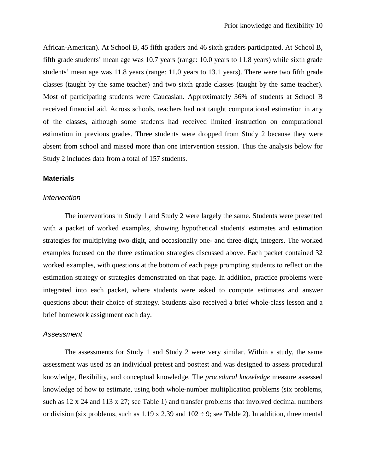African-American). At School B, 45 fifth graders and 46 sixth graders participated. At School B, fifth grade students' mean age was 10.7 years (range: 10.0 years to 11.8 years) while sixth grade students' mean age was 11.8 years (range: 11.0 years to 13.1 years). There were two fifth grade classes (taught by the same teacher) and two sixth grade classes (taught by the same teacher). Most of participating students were Caucasian. Approximately 36% of students at School B received financial aid. Across schools, teachers had not taught computational estimation in any of the classes, although some students had received limited instruction on computational estimation in previous grades. Three students were dropped from Study 2 because they were absent from school and missed more than one intervention session. Thus the analysis below for Study 2 includes data from a total of 157 students.

#### **Materials**

#### *Intervention*

The interventions in Study 1 and Study 2 were largely the same. Students were presented with a packet of worked examples, showing hypothetical students' estimates and estimation strategies for multiplying two-digit, and occasionally one- and three-digit, integers. The worked examples focused on the three estimation strategies discussed above. Each packet contained 32 worked examples, with questions at the bottom of each page prompting students to reflect on the estimation strategy or strategies demonstrated on that page. In addition, practice problems were integrated into each packet, where students were asked to compute estimates and answer questions about their choice of strategy. Students also received a brief whole-class lesson and a brief homework assignment each day.

#### *Assessment*

The assessments for Study 1 and Study 2 were very similar. Within a study, the same assessment was used as an individual pretest and posttest and was designed to assess procedural knowledge, flexibility, and conceptual knowledge. The *procedural knowledge* measure assessed knowledge of how to estimate, using both whole-number multiplication problems (six problems, such as 12 x 24 and 113 x 27; see Table 1) and transfer problems that involved decimal numbers or division (six problems, such as  $1.19 \times 2.39$  and  $102 \div 9$ ; see Table 2). In addition, three mental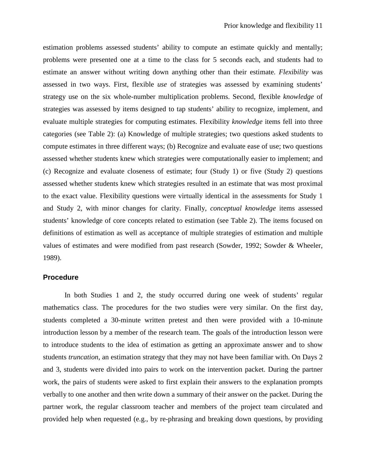estimation problems assessed students' ability to compute an estimate quickly and mentally; problems were presented one at a time to the class for 5 seconds each, and students had to estimate an answer without writing down anything other than their estimate. *Flexibility* was assessed in two ways. First, flexible *use* of strategies was assessed by examining students' strategy use on the six whole-number multiplication problems. Second, flexible *knowledge* of strategies was assessed by items designed to tap students' ability to recognize, implement, and evaluate multiple strategies for computing estimates. Flexibility *knowledge* items fell into three categories (see Table 2): (a) Knowledge of multiple strategies; two questions asked students to compute estimates in three different ways; (b) Recognize and evaluate ease of use; two questions assessed whether students knew which strategies were computationally easier to implement; and (c) Recognize and evaluate closeness of estimate; four (Study 1) or five (Study 2) questions assessed whether students knew which strategies resulted in an estimate that was most proximal to the exact value. Flexibility questions were virtually identical in the assessments for Study 1 and Study 2, with minor changes for clarity. Finally, *conceptual knowledge* items assessed students' knowledge of core concepts related to estimation (see Table 2). The items focused on definitions of estimation as well as acceptance of multiple strategies of estimation and multiple values of estimates and were modified from past research (Sowder, 1992; Sowder & Wheeler, 1989).

#### **Procedure**

In both Studies 1 and 2, the study occurred during one week of students' regular mathematics class. The procedures for the two studies were very similar. On the first day, students completed a 30-minute written pretest and then were provided with a 10-minute introduction lesson by a member of the research team. The goals of the introduction lesson were to introduce students to the idea of estimation as getting an approximate answer and to show students *truncation*, an estimation strategy that they may not have been familiar with. On Days 2 and 3, students were divided into pairs to work on the intervention packet. During the partner work, the pairs of students were asked to first explain their answers to the explanation prompts verbally to one another and then write down a summary of their answer on the packet. During the partner work, the regular classroom teacher and members of the project team circulated and provided help when requested (e.g., by re-phrasing and breaking down questions, by providing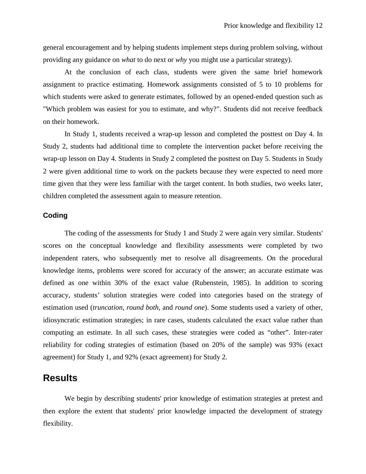general encouragement and by helping students implement steps during problem solving, without providing any guidance on *what* to do next or *why* you might use a particular strategy).

At the conclusion of each class, students were given the same brief homework assignment to practice estimating. Homework assignments consisted of 5 to 10 problems for which students were asked to generate estimates, followed by an opened-ended question such as "Which problem was easiest for you to estimate, and why?". Students did not receive feedback on their homework.

In Study 1, students received a wrap-up lesson and completed the posttest on Day 4. In Study 2, students had additional time to complete the intervention packet before receiving the wrap-up lesson on Day 4. Students in Study 2 completed the posttest on Day 5. Students in Study 2 were given additional time to work on the packets because they were expected to need more time given that they were less familiar with the target content. In both studies, two weeks later, children completed the assessment again to measure retention.

#### **Coding**

The coding of the assessments for Study 1 and Study 2 were again very similar. Students' scores on the conceptual knowledge and flexibility assessments were completed by two independent raters, who subsequently met to resolve all disagreements. On the procedural knowledge items, problems were scored for accuracy of the answer; an accurate estimate was defined as one within 30% of the exact value (Rubenstein, 1985). In addition to scoring accuracy, students' solution strategies were coded into categories based on the strategy of estimation used (*truncation*, *round both*, and *round one*). Some students used a variety of other, idiosyncratic estimation strategies; in rare cases, students calculated the exact value rather than computing an estimate. In all such cases, these strategies were coded as "other". Inter-rater reliability for coding strategies of estimation (based on 20% of the sample) was 93% (exact agreement) for Study 1, and 92% (exact agreement) for Study 2.

## **Results**

We begin by describing students' prior knowledge of estimation strategies at pretest and then explore the extent that students' prior knowledge impacted the development of strategy flexibility.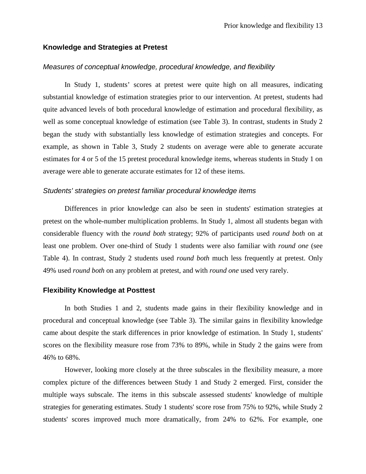#### **Knowledge and Strategies at Pretest**

#### *Measures of conceptual knowledge, procedural knowledge, and flexibility*

In Study 1, students' scores at pretest were quite high on all measures, indicating substantial knowledge of estimation strategies prior to our intervention. At pretest, students had quite advanced levels of both procedural knowledge of estimation and procedural flexibility, as well as some conceptual knowledge of estimation (see Table 3). In contrast, students in Study 2 began the study with substantially less knowledge of estimation strategies and concepts. For example, as shown in Table 3, Study 2 students on average were able to generate accurate estimates for 4 or 5 of the 15 pretest procedural knowledge items, whereas students in Study 1 on average were able to generate accurate estimates for 12 of these items.

#### *Students' strategies on pretest familiar procedural knowledge items*

Differences in prior knowledge can also be seen in students' estimation strategies at pretest on the whole-number multiplication problems. In Study 1, almost all students began with considerable fluency with the *round both* strategy; 92% of participants used *round both* on at least one problem. Over one-third of Study 1 students were also familiar with *round one* (see Table 4). In contrast, Study 2 students used *round both* much less frequently at pretest. Only 49% used *round both* on any problem at pretest, and with *round one* used very rarely.

#### **Flexibility Knowledge at Posttest**

In both Studies 1 and 2, students made gains in their flexibility knowledge and in procedural and conceptual knowledge (see Table 3). The similar gains in flexibility knowledge came about despite the stark differences in prior knowledge of estimation. In Study 1, students' scores on the flexibility measure rose from 73% to 89%, while in Study 2 the gains were from 46% to 68%.

However, looking more closely at the three subscales in the flexibility measure, a more complex picture of the differences between Study 1 and Study 2 emerged. First, consider the multiple ways subscale. The items in this subscale assessed students' knowledge of multiple strategies for generating estimates. Study 1 students' score rose from 75% to 92%, while Study 2 students' scores improved much more dramatically, from 24% to 62%. For example, one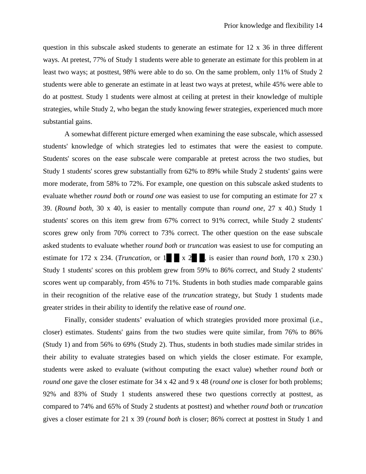question in this subscale asked students to generate an estimate for 12 x 36 in three different ways. At pretest, 77% of Study 1 students were able to generate an estimate for this problem in at least two ways; at posttest, 98% were able to do so. On the same problem, only 11% of Study 2 students were able to generate an estimate in at least two ways at pretest, while 45% were able to do at posttest. Study 1 students were almost at ceiling at pretest in their knowledge of multiple strategies, while Study 2, who began the study knowing fewer strategies, experienced much more substantial gains.

A somewhat different picture emerged when examining the ease subscale, which assessed students' knowledge of which strategies led to estimates that were the easiest to compute. Students' scores on the ease subscale were comparable at pretest across the two studies, but Study 1 students' scores grew substantially from 62% to 89% while Study 2 students' gains were more moderate, from 58% to 72%. For example, one question on this subscale asked students to evaluate whether *round both* or *round one* was easiest to use for computing an estimate for 27 x 39. (*Round both*, 30 x 40, is easier to mentally compute than *round one*, 27 x 40.) Study 1 students' scores on this item grew from 67% correct to 91% correct, while Study 2 students' scores grew only from 70% correct to 73% correct. The other question on the ease subscale asked students to evaluate whether *round both* or *truncation* was easiest to use for computing an estimate for 172 x 234. (*Truncation*, or  $1 \times 2$   $\ldots$ , is easier than *round both*, 170 x 230.) Study 1 students' scores on this problem grew from 59% to 86% correct, and Study 2 students' scores went up comparably, from 45% to 71%. Students in both studies made comparable gains in their recognition of the relative ease of the *truncation* strategy, but Study 1 students made greater strides in their ability to identify the relative ease of *round one*.

Finally, consider students' evaluation of which strategies provided more proximal (i.e., closer) estimates. Students' gains from the two studies were quite similar, from 76% to 86% (Study 1) and from 56% to 69% (Study 2). Thus, students in both studies made similar strides in their ability to evaluate strategies based on which yields the closer estimate. For example, students were asked to evaluate (without computing the exact value) whether *round both* or *round one* gave the closer estimate for 34 x 42 and 9 x 48 (*round one* is closer for both problems; 92% and 83% of Study 1 students answered these two questions correctly at posttest, as compared to 74% and 65% of Study 2 students at posttest) and whether *round both* or *truncation* gives a closer estimate for 21 x 39 (*round both* is closer; 86% correct at posttest in Study 1 and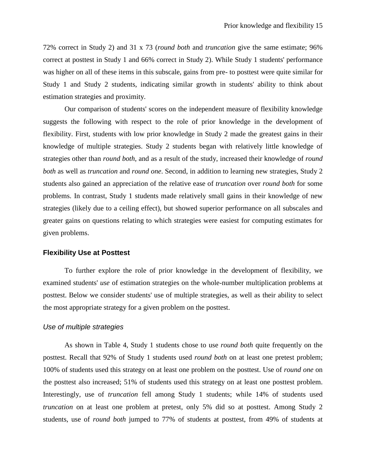72% correct in Study 2) and 31 x 73 (*round both* and *truncation* give the same estimate; 96% correct at posttest in Study 1 and 66% correct in Study 2). While Study 1 students' performance was higher on all of these items in this subscale, gains from pre- to posttest were quite similar for Study 1 and Study 2 students, indicating similar growth in students' ability to think about estimation strategies and proximity.

Our comparison of students' scores on the independent measure of flexibility knowledge suggests the following with respect to the role of prior knowledge in the development of flexibility. First, students with low prior knowledge in Study 2 made the greatest gains in their knowledge of multiple strategies. Study 2 students began with relatively little knowledge of strategies other than *round both*, and as a result of the study, increased their knowledge of *round both* as well as *truncation* and *round one*. Second, in addition to learning new strategies, Study 2 students also gained an appreciation of the relative ease of *truncation* over *round both* for some problems. In contrast, Study 1 students made relatively small gains in their knowledge of new strategies (likely due to a ceiling effect), but showed superior performance on all subscales and greater gains on questions relating to which strategies were easiest for computing estimates for given problems.

#### **Flexibility Use at Posttest**

To further explore the role of prior knowledge in the development of flexibility, we examined students' *use* of estimation strategies on the whole-number multiplication problems at posttest. Below we consider students' use of multiple strategies, as well as their ability to select the most appropriate strategy for a given problem on the posttest.

#### *Use of multiple strategies*

As shown in Table 4, Study 1 students chose to use *round both* quite frequently on the posttest. Recall that 92% of Study 1 students used *round both* on at least one pretest problem; 100% of students used this strategy on at least one problem on the posttest. Use of *round one* on the posttest also increased; 51% of students used this strategy on at least one posttest problem. Interestingly, use of *truncation* fell among Study 1 students; while 14% of students used *truncation* on at least one problem at pretest, only 5% did so at posttest. Among Study 2 students, use of *round both* jumped to 77% of students at posttest, from 49% of students at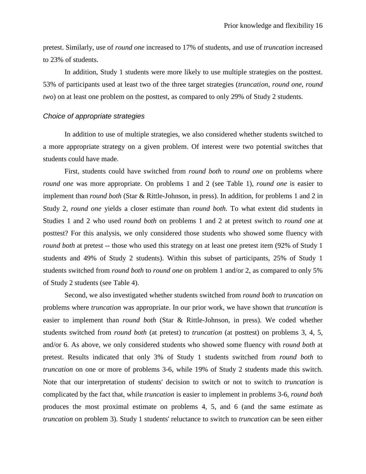pretest. Similarly, use of *round one* increased to 17% of students, and use of *truncation* increased to 23% of students.

In addition, Study 1 students were more likely to use multiple strategies on the posttest. 53% of participants used at least two of the three target strategies (*truncation*, *round one*, *round two*) on at least one problem on the posttest, as compared to only 29% of Study 2 students.

#### *Choice of appropriate strategies*

In addition to use of multiple strategies, we also considered whether students switched to a more appropriate strategy on a given problem. Of interest were two potential switches that students could have made.

First, students could have switched from *round both* to *round one* on problems where *round one* was more appropriate. On problems 1 and 2 (see Table 1), *round one* is easier to implement than *round both* (Star & Rittle-Johnson, in press). In addition, for problems 1 and 2 in Study 2, *round one* yields a closer estimate than *round both*. To what extent did students in Studies 1 and 2 who used *round both* on problems 1 and 2 at pretest switch to *round one* at posttest? For this analysis, we only considered those students who showed some fluency with *round both* at pretest -- those who used this strategy on at least one pretest item (92% of Study 1) students and 49% of Study 2 students). Within this subset of participants, 25% of Study 1 students switched from *round both* to *round one* on problem 1 and/or 2, as compared to only 5% of Study 2 students (see Table 4).

Second, we also investigated whether students switched from *round both* to *truncation* on problems where *truncation* was appropriate. In our prior work, we have shown that *truncation* is easier to implement than *round both* (Star & Rittle-Johnson, in press). We coded whether students switched from *round both* (at pretest) to *truncation* (at posttest) on problems 3, 4, 5, and/or 6. As above, we only considered students who showed some fluency with *round both* at pretest. Results indicated that only 3% of Study 1 students switched from *round both* to *truncation* on one or more of problems 3-6, while 19% of Study 2 students made this switch. Note that our interpretation of students' decision to switch or not to switch to *truncation* is complicated by the fact that, while *truncation* is easier to implement in problems 3-6, *round both* produces the most proximal estimate on problems 4, 5, and 6 (and the same estimate as *truncation* on problem 3). Study 1 students' reluctance to switch to *truncation* can be seen either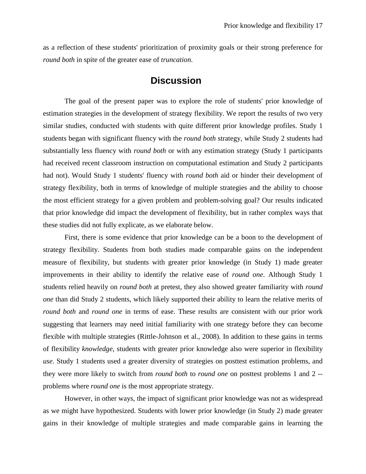as a reflection of these students' prioritization of proximity goals or their strong preference for *round both* in spite of the greater ease of *truncation*.

## **Discussion**

The goal of the present paper was to explore the role of students' prior knowledge of estimation strategies in the development of strategy flexibility. We report the results of two very similar studies, conducted with students with quite different prior knowledge profiles. Study 1 students began with significant fluency with the *round both* strategy, while Study 2 students had substantially less fluency with *round both* or with any estimation strategy (Study 1 participants had received recent classroom instruction on computational estimation and Study 2 participants had not). Would Study 1 students' fluency with *round both* aid or hinder their development of strategy flexibility, both in terms of knowledge of multiple strategies and the ability to choose the most efficient strategy for a given problem and problem-solving goal? Our results indicated that prior knowledge did impact the development of flexibility, but in rather complex ways that these studies did not fully explicate, as we elaborate below.

First, there is some evidence that prior knowledge can be a boon to the development of strategy flexibility. Students from both studies made comparable gains on the independent measure of flexibility, but students with greater prior knowledge (in Study 1) made greater improvements in their ability to identify the relative ease of *round one*. Although Study 1 students relied heavily on *round both* at pretest, they also showed greater familiarity with *round one* than did Study 2 students, which likely supported their ability to learn the relative merits of *round both* and *round one* in terms of ease. These results are consistent with our prior work suggesting that learners may need initial familiarity with one strategy before they can become flexible with multiple strategies (Rittle-Johnson et al., 2008). In addition to these gains in terms of flexibility *knowledge*, students with greater prior knowledge also were superior in flexibility *use*. Study 1 students used a greater diversity of strategies on posttest estimation problems, and they were more likely to switch from *round both* to *round one* on posttest problems 1 and 2 - problems where *round one* is the most appropriate strategy.

However, in other ways, the impact of significant prior knowledge was not as widespread as we might have hypothesized. Students with lower prior knowledge (in Study 2) made greater gains in their knowledge of multiple strategies and made comparable gains in learning the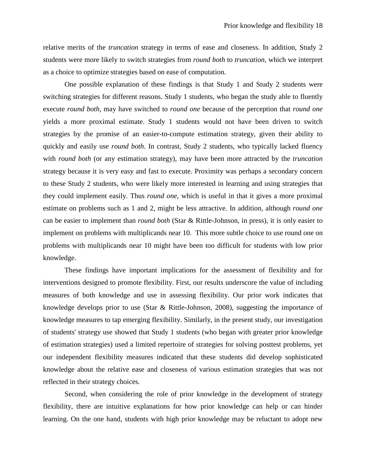relative merits of the *truncation* strategy in terms of ease and closeness. In addition, Study 2 students were more likely to switch strategies from *round both* to *truncation*, which we interpret as a choice to optimize strategies based on ease of computation.

One possible explanation of these findings is that Study 1 and Study 2 students were switching strategies for different reasons. Study 1 students, who began the study able to fluently execute *round both*, may have switched to *round one* because of the perception that *round one* yields a more proximal estimate. Study 1 students would not have been driven to switch strategies by the promise of an easier-to-compute estimation strategy, given their ability to quickly and easily use *round both*. In contrast, Study 2 students, who typically lacked fluency with *round both* (or any estimation strategy), may have been more attracted by the *truncation* strategy because it is very easy and fast to execute. Proximity was perhaps a secondary concern to these Study 2 students, who were likely more interested in learning and using strategies that they could implement easily. Thus *round one*, which is useful in that it gives a more proximal estimate on problems such as 1 and 2, might be less attractive. In addition, although *round one* can be easier to implement than *round both* (Star & Rittle-Johnson, in press)*,* it is only easier to implement on problems with multiplicands near 10. This more subtle choice to use round one on problems with multiplicands near 10 might have been too difficult for students with low prior knowledge.

These findings have important implications for the assessment of flexibility and for interventions designed to promote flexibility. First, our results underscore the value of including measures of both knowledge and use in assessing flexibility. Our prior work indicates that knowledge develops prior to use (Star & Rittle-Johnson, 2008), suggesting the importance of knowledge measures to tap emerging flexibility. Similarly, in the present study, our investigation of students' strategy use showed that Study 1 students (who began with greater prior knowledge of estimation strategies) used a limited repertoire of strategies for solving posttest problems, yet our independent flexibility measures indicated that these students did develop sophisticated knowledge about the relative ease and closeness of various estimation strategies that was not reflected in their strategy choices.

Second, when considering the role of prior knowledge in the development of strategy flexibility, there are intuitive explanations for how prior knowledge can help or can hinder learning. On the one hand, students with high prior knowledge may be reluctant to adopt new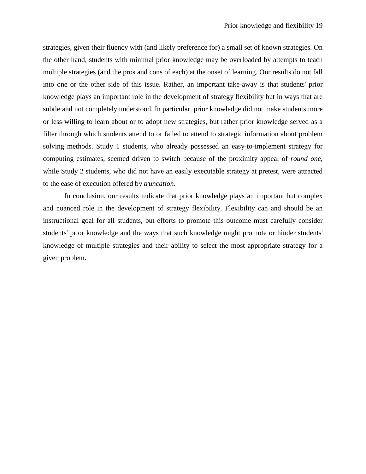strategies, given their fluency with (and likely preference for) a small set of known strategies. On the other hand, students with minimal prior knowledge may be overloaded by attempts to teach multiple strategies (and the pros and cons of each) at the onset of learning. Our results do not fall into one or the other side of this issue. Rather, an important take-away is that students' prior knowledge plays an important role in the development of strategy flexibility but in ways that are subtle and not completely understood. In particular, prior knowledge did not make students more or less willing to learn about or to adopt new strategies, but rather prior knowledge served as a filter through which students attend to or failed to attend to strategic information about problem solving methods. Study 1 students, who already possessed an easy-to-implement strategy for computing estimates, seemed driven to switch because of the proximity appeal of *round one*, while Study 2 students, who did not have an easily executable strategy at pretest, were attracted to the ease of execution offered by *truncation*.

In conclusion, our results indicate that prior knowledge plays an important but complex and nuanced role in the development of strategy flexibility. Flexibility can and should be an instructional goal for all students, but efforts to promote this outcome must carefully consider students' prior knowledge and the ways that such knowledge might promote or hinder students' knowledge of multiple strategies and their ability to select the most appropriate strategy for a given problem.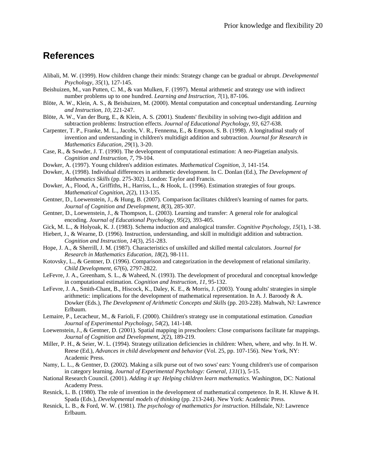## **References**

- Alibali, M. W. (1999). How children change their minds: Strategy change can be gradual or abrupt. *Developmental Psychology, 35*(1), 127-145.
- Beishuizen, M., van Putten, C. M., & van Mulken, F. (1997). Mental arithmetic and strategy use with indirect number problems up to one hundred. *Learning and Instruction, 7*(1), 87-106.
- Blöte, A. W., Klein, A. S., & Beishuizen, M. (2000). Mental computation and conceptual understanding. *Learning and Instruction, 10*, 221-247.
- Blöte, A. W., Van der Burg, E., & Klein, A. S. (2001). Students' flexibility in solving two-digit addition and subtraction problems: Instruction effects. *Journal of Educational Psychology, 93*, 627-638.
- Carpenter, T. P., Franke, M. L., Jacobs, V. R., Fennema, E., & Empson, S. B. (1998). A longitudinal study of invention and understanding in children's multidigit addition and subtraction. *Journal for Research in Mathematics Education, 29*(1), 3-20.
- Case, R., & Sowder, J. T. (1990). The development of computational estimation: A neo-Piagetian analysis. *Cognition and Instruction, 7*, 79-104.
- Dowker, A. (1997). Young children's addition estimates. *Mathematical Cognition, 3*, 141-154.
- Dowker, A. (1998). Individual differences in arithmetic development. In C. Donlan (Ed.), *The Development of Mathematics Skills* (pp. 275-302). London: Taylor and Francis.
- Dowker, A., Flood, A., Griffiths, H., Harriss, L., & Hook, L. (1996). Estimation strategies of four groups. *Mathematical Cognition, 2*(2), 113-135.
- Gentner, D., Loewenstein, J., & Hung, B. (2007). Comparison facilitates children's learning of names for parts. *Journal of Cognition and Development, 8*(3), 285-307.
- Gentner, D., Loewenstein, J., & Thompson, L. (2003). Learning and transfer: A general role for analogical encoding. *Journal of Educational Psychology, 95*(2), 393-405.
- Gick, M. L., & Holyoak, K. J. (1983). Schema induction and analogical transfer. *Cognitive Psychology, 15*(1), 1-38.

Hiebert, J., & Wearne, D. (1996). Instruction, understanding, and skill in multidigit addition and subtraction. *Cognition and Instruction, 14*(3), 251-283.

- Hope, J. A., & Sherrill, J. M. (1987). Characteristics of unskilled and skilled mental calculators. *Journal for Research in Mathematics Education, 18*(2), 98-111.
- Kotovsky, L., & Gentner, D. (1996). Comparison and categorization in the development of relational similarity. *Child Development, 67*(6), 2797-2822.
- LeFevre, J. A., Greenham, S. L., & Waheed, N. (1993). The development of procedural and conceptual knowledge in computational estimation. *Cognition and Instruction, 11*, 95-132.
- LeFevre, J. A., Smith-Chant, B., Hiscock, K., Daley, K. E., & Morris, J. (2003). Young adults' strategies in simple arithmetic: implications for the development of mathematical representation. In A. J. Baroody & A. Dowker (Eds.), *The Development of Arithmetic Concepts and Skills* (pp. 203-228). Mahwah, NJ: Lawrence Erlbaum.
- Lemaire, P., Lecacheur, M., & Farioli, F. (2000). Chiildren's strategy use in computational estimation. *Canadian Journal of Experimental Psychology, 54*(2), 141-148.
- Loewenstein, J., & Gentner, D. (2001). Spatial mapping in preschoolers: Close comparisons facilitate far mappings. *Journal of Cognition and Development, 2*(2), 189-219.
- Miller, P. H., & Seier, W. L. (1994). Strategy utilization deficiencies in children: When, where, and why. In H. W. Reese (Ed.), *Advances in child development and behavior* (Vol. 25, pp. 107-156). New York, NY: Academic Press.
- Namy, L. L., & Gentner, D. (2002). Making a silk purse out of two sows' ears: Young children's use of comparison in category learning. *Journal of Experimental Psychology: General, 131*(1), 5-15.
- National Research Council. (2001). *Adding it up: Helping children learn mathematics*. Washington, DC: National Academy Press.
- Resnick, L. B. (1980). The role of invention in the development of mathematical competence. In R. H. Kluwe & H. Spada (Eds.), *Developmental models of thinking* (pp. 213-244). New York: Academic Press.
- Resnick, L. B., & Ford, W. W. (1981). *The psychology of mathematics for instruction*. Hillsdale, NJ: Lawrence Erlbaum.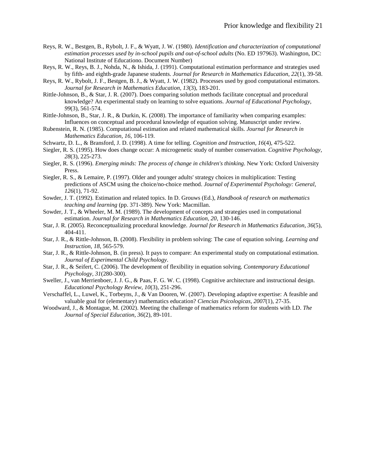- Reys, R. W., Bestgen, B., Rybolt, J. F., & Wyatt, J. W. (1980). *Identification and characterization of computational estimation processes used by in-school pupils and out-of-school adults* (No. ED 197963). Washington, DC: National Institute of Educationo. Document Number)
- Reys, R. W., Reys, B. J., Nohda, N., & Ishida, J. (1991). Computational estimation performance and strategies used by fifth- and eighth-grade Japanese students. *Journal for Research in Mathematics Education, 22*(1), 39-58.
- Reys, R. W., Rybolt, J. F., Bestgen, B. J., & Wyatt, J. W. (1982). Processes used by good computational estimators. *Journal for Research in Mathematics Education, 13*(3), 183-201.
- Rittle-Johnson, B., & Star, J. R. (2007). Does comparing solution methods facilitate conceptual and procedural knowledge? An experimental study on learning to solve equations. *Journal of Educational Psychology, 99*(3), 561-574.
- Rittle-Johnson, B., Star, J. R., & Durkin, K. (2008). The importance of familiarity when comparing examples: Influences on conceptual and procedural knowledge of equation solving. Manuscript under review.
- Rubenstein, R. N. (1985). Computational estimation and related mathematical skills. *Journal for Research in Mathematics Education, 16*, 106-119.
- Schwartz, D. L., & Bransford, J. D. (1998). A time for telling. *Cognition and Instruction, 16*(4), 475-522.
- Siegler, R. S. (1995). How does change occur: A microgenetic study of number conservation. *Cognitive Psychology, 28*(3), 225-273.
- Siegler, R. S. (1996). *Emerging minds: The process of change in children's thinking*. New York: Oxford University Press.
- Siegler, R. S., & Lemaire, P. (1997). Older and younger adults' strategy choices in multiplication: Testing predictions of ASCM using the choice/no-choice method. *Journal of Experimental Psychology: General, 126*(1), 71-92.
- Sowder, J. T. (1992). Estimation and related topics. In D. Grouws (Ed.), *Handbook of research on mathematics teaching and learning* (pp. 371-389). New York: Macmillan.
- Sowder, J. T., & Wheeler, M. M. (1989). The development of concepts and strategies used in computational estimation. *Journal for Research in Mathematics Education, 20*, 130-146.
- Star, J. R. (2005). Reconceptualizing procedural knowledge. *Journal for Research in Mathematics Education, 36*(5), 404-411.
- Star, J. R., & Rittle-Johnson, B. (2008). Flexibility in problem solving: The case of equation solving. *Learning and Instruction, 18*, 565-579.
- Star, J. R., & Rittle-Johnson, B. (in press). It pays to compare: An experimental study on computational estimation. *Journal of Experimental Child Psychology*.
- Star, J. R., & Seifert, C. (2006). The development of flexibility in equation solving. *Contemporary Educational Psychology, 31*(280-300).
- Sweller, J., van Merrienboer, J. J. G., & Paas, F. G. W. C. (1998). Cognitive architecture and instructional design. *Educational Psychology Review, 10*(3), 251-296.
- Verschaffel, L., Luwel, K., Torbeyns, J., & Van Dooren, W. (2007). Developing adaptive expertise: A feasible and valuable goal for (elementary) mathematics education? *Ciencias Psicologicas, 2007*(1), 27-35.
- Woodward, J., & Montague, M. (2002). Meeting the challenge of mathematics reform for students with LD. *The Journal of Special Education, 36*(2), 89-101.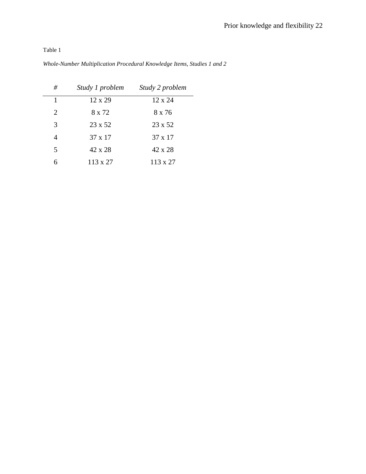| #              | Study 1 problem | Study 2 problem |
|----------------|-----------------|-----------------|
| 1              | 12 x 29         | $12 \times 24$  |
| $\overline{2}$ | 8 x 72          | 8 x 76          |
| 3              | 23 x 52         | 23 x 52         |
| 4              | 37 x 17         | 37 x 17         |
| 5              | 42 x 28         | 42 x 28         |
|                | 113 x 27        | 113 x 27        |

*Whole-Number Multiplication Procedural Knowledge Items, Studies 1 and 2*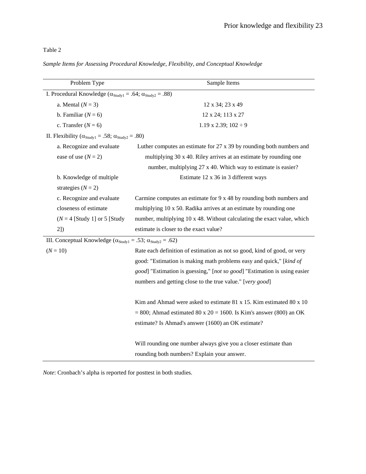|  |  |  | Sample Items for Assessing Procedural Knowledge, Flexibility, and Conceptual Knowledge |  |  |
|--|--|--|----------------------------------------------------------------------------------------|--|--|
|  |  |  |                                                                                        |  |  |
|  |  |  |                                                                                        |  |  |

| Problem Type                                                                                  | Sample Items                                                                |  |  |  |  |
|-----------------------------------------------------------------------------------------------|-----------------------------------------------------------------------------|--|--|--|--|
| I. Procedural Knowledge ( $\alpha_{\text{Study1}} = .64$ ; $\alpha_{\text{Study2}} = .88$ )   |                                                                             |  |  |  |  |
| a. Mental $(N = 3)$                                                                           | 12 x 34; 23 x 49                                                            |  |  |  |  |
| b. Familiar $(N = 6)$                                                                         | 12 x 24; 113 x 27                                                           |  |  |  |  |
| c. Transfer $(N = 6)$                                                                         | 1.19 x 2.39; $102 \div 9$                                                   |  |  |  |  |
| II. Flexibility ( $\alpha_{\text{Study1}} = .58$ ; $\alpha_{\text{Study2}} = .80$ )           |                                                                             |  |  |  |  |
| a. Recognize and evaluate                                                                     | Luther computes an estimate for $27 \times 39$ by rounding both numbers and |  |  |  |  |
| ease of use $(N = 2)$                                                                         | multiplying 30 x 40. Riley arrives at an estimate by rounding one           |  |  |  |  |
|                                                                                               | number, multiplying 27 x 40. Which way to estimate is easier?               |  |  |  |  |
| b. Knowledge of multiple                                                                      | Estimate 12 x 36 in 3 different ways                                        |  |  |  |  |
| strategies $(N = 2)$                                                                          |                                                                             |  |  |  |  |
| c. Recognize and evaluate                                                                     | Carmine computes an estimate for 9 x 48 by rounding both numbers and        |  |  |  |  |
| closeness of estimate                                                                         | multiplying 10 x 50. Radika arrives at an estimate by rounding one          |  |  |  |  |
| $(N = 4$ [Study 1] or 5 [Study                                                                | number, multiplying 10 x 48. Without calculating the exact value, which     |  |  |  |  |
| 2]                                                                                            | estimate is closer to the exact value?                                      |  |  |  |  |
| III. Conceptual Knowledge ( $\alpha_{\text{Study1}} = .53$ ; $\alpha_{\text{Study2}} = .62$ ) |                                                                             |  |  |  |  |
| $(N = 10)$                                                                                    | Rate each definition of estimation as not so good, kind of good, or very    |  |  |  |  |
|                                                                                               | good: "Estimation is making math problems easy and quick," [kind of         |  |  |  |  |
|                                                                                               | good] "Estimation is guessing," [not so good] "Estimation is using easier   |  |  |  |  |
|                                                                                               | numbers and getting close to the true value." [very good]                   |  |  |  |  |
|                                                                                               |                                                                             |  |  |  |  |
|                                                                                               | Kim and Ahmad were asked to estimate 81 x 15. Kim estimated 80 x 10         |  |  |  |  |
|                                                                                               | $= 800$ ; Ahmad estimated 80 x 20 = 1600. Is Kim's answer (800) an OK       |  |  |  |  |
|                                                                                               | estimate? Is Ahmad's answer (1600) an OK estimate?                          |  |  |  |  |
|                                                                                               |                                                                             |  |  |  |  |
|                                                                                               | Will rounding one number always give you a closer estimate than             |  |  |  |  |
|                                                                                               | rounding both numbers? Explain your answer.                                 |  |  |  |  |

*Note*: Cronbach's alpha is reported for posttest in both studies.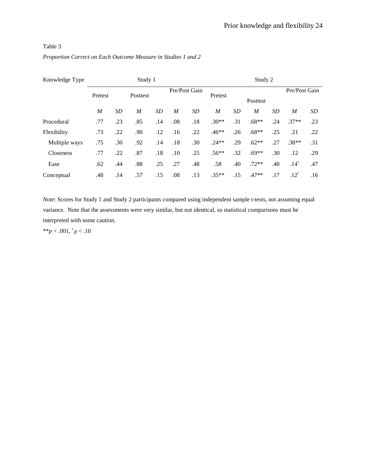| Knowledge Type | Study 1          |           |          |     |                  | Study 2       |                  |           |          |           |                  |     |
|----------------|------------------|-----------|----------|-----|------------------|---------------|------------------|-----------|----------|-----------|------------------|-----|
|                | Pretest          |           | Posttest |     |                  | Pre/Post Gain | Pretest          |           | Posttest |           | Pre/Post Gain    |     |
|                | $\boldsymbol{M}$ | <b>SD</b> | M        | SD  | $\boldsymbol{M}$ | <b>SD</b>     | $\boldsymbol{M}$ | <b>SD</b> | M        | <b>SD</b> | $\boldsymbol{M}$ | SD  |
| Procedural     | .77              | .23       | .85      | .14 | .08              | .18           | $.30**$          | .31       | $.68**$  | .24       | $.37**$          | .23 |
| Flexibility    | .73              | .22       | .90      | .12 | .16              | .22           | $.46**$          | .26       | $.68**$  | .25       | .21              | .22 |
| Multiple ways  | .75              | .30       | .92      | .14 | .18              | .30           | $.24**$          | .29       | $.62**$  | .27       | $.38**$          | .31 |
| Closeness      | .77              | .22       | .87      | .18 | .10              | .25           | $.56**$          | .32       | $.69**$  | .30       | .12              | .29 |
| Ease           | .62              | .44       | .88      | .25 | .27              | .48           | .58              | .40       | $.72**$  | .40       | $.14^{\tau}$     | .47 |
| Conceptual     | .48              | .14       | .57      | .15 | .08              | .13           | $.35**$          | .15       | $.47**$  | .17       | $.12^{\tau}$     | .16 |

*Proportion Correct on Each Outcome Measure in Studies 1 and 2*

*Note*: Scores for Study 1 and Study 2 participants compared using independent sample t-tests, not assuming equal variance. Note that the assessments were very similar, but not identical, so statistical comparisons must be interpreted with some caution.

\*\* $p < .001,$ <sup> $\tau$ </sup> $p < .10$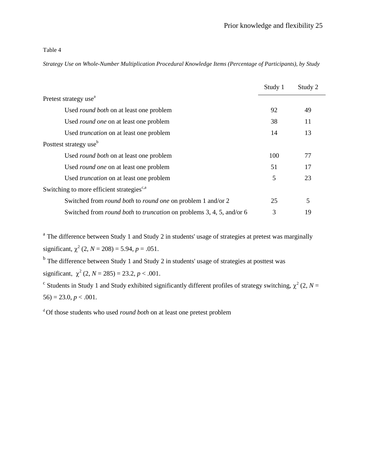*Strategy Use on Whole-Number Multiplication Procedural Knowledge Items (Percentage of Participants), by Study*

|                                                                                    | Study 1 | Study 2 |
|------------------------------------------------------------------------------------|---------|---------|
| Pretest strategy use <sup>a</sup>                                                  |         |         |
| Used round both on at least one problem                                            | 92      | 49      |
| Used <i>round one</i> on at least one problem                                      | 38      | 11      |
| Used <i>truncation</i> on at least one problem                                     | 14      | 13      |
| Posttest strategy use <sup>b</sup>                                                 |         |         |
| Used <i>round both</i> on at least one problem                                     | 100     | 77      |
| Used <i>round one</i> on at least one problem                                      | 51      | 17      |
| Used <i>truncation</i> on at least one problem                                     | 5       | 23      |
| Switching to more efficient strategies <sup>c,a</sup>                              |         |         |
| Switched from <i>round both</i> to <i>round one</i> on problem 1 and/or 2          | 25      | 5       |
| Switched from <i>round both</i> to <i>truncation</i> on problems 3, 4, 5, and/or 6 | 3       | 19      |

<sup>a</sup> The difference between Study 1 and Study 2 in students' usage of strategies at pretest was marginally significant,  $\chi^2$  (2, *N* = 208) = 5.94, *p* = .051.

<sup>b</sup> The difference between Study 1 and Study 2 in students' usage of strategies at posttest was significant,  $\chi^2$  (2, *N* = 285) = 23.2, *p* < .001.

<sup>c</sup> Students in Study 1 and Study exhibited significantly different profiles of strategy switching,  $\chi^2$  (2, *N* =  $56$ ) = 23.0, *p* < .001.

<sup>d</sup>Of those students who used *round both* on at least one pretest problem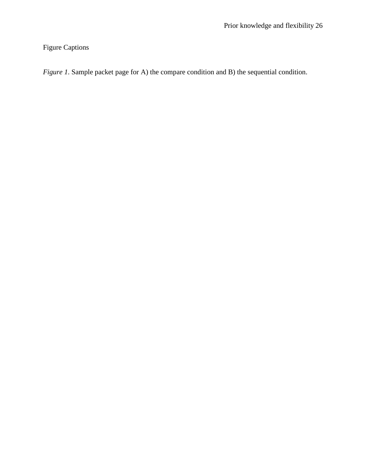Figure Captions

*Figure 1*. Sample packet page for A) the compare condition and B) the sequential condition.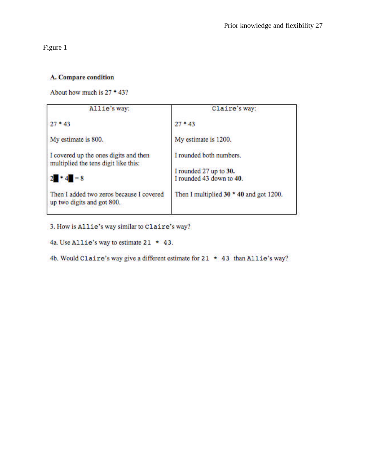Figure 1

### A. Compare condition

About how much is 27 \* 43?

| Allie's way:                                                                  | Claire's way:                                      |
|-------------------------------------------------------------------------------|----------------------------------------------------|
| $27 * 43$                                                                     | $27 * 43$                                          |
| My estimate is 800.                                                           | My estimate is 1200.                               |
| I covered up the ones digits and then<br>multiplied the tens digit like this: | I rounded both numbers.                            |
| $2 \cdot 4 = 8$                                                               | I rounded 27 up to 30.<br>I rounded 43 down to 40. |
| Then I added two zeros because I covered<br>up two digits and got 800.        | Then I multiplied $30 * 40$ and got 1200.          |

3. How is Allie's way similar to Claire's way?

4a. Use Allie's way to estimate  $21 \times 43$ .

4b. Would Claire's way give a different estimate for  $21 \times 43$  than Allie's way?